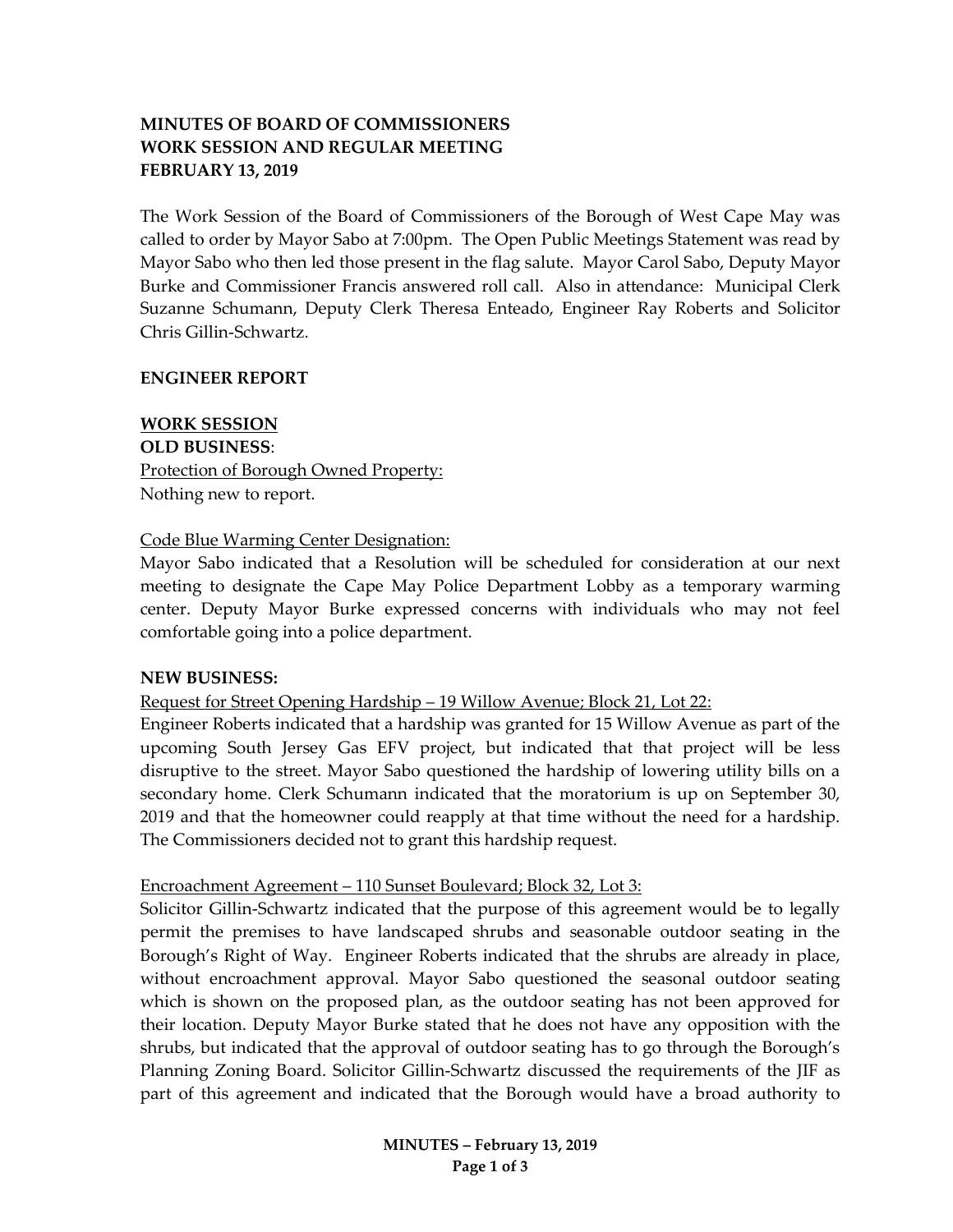# **MINUTES OF BOARD OF COMMISSIONERS WORK SESSION AND REGULAR MEETING FEBRUARY 13, 2019**

The Work Session of the Board of Commissioners of the Borough of West Cape May was called to order by Mayor Sabo at 7:00pm. The Open Public Meetings Statement was read by Mayor Sabo who then led those present in the flag salute. Mayor Carol Sabo, Deputy Mayor Burke and Commissioner Francis answered roll call. Also in attendance: Municipal Clerk Suzanne Schumann, Deputy Clerk Theresa Enteado, Engineer Ray Roberts and Solicitor Chris Gillin-Schwartz.

### **ENGINEER REPORT**

**WORK SESSION OLD BUSINESS**:

Protection of Borough Owned Property: Nothing new to report.

### Code Blue Warming Center Designation:

Mayor Sabo indicated that a Resolution will be scheduled for consideration at our next meeting to designate the Cape May Police Department Lobby as a temporary warming center. Deputy Mayor Burke expressed concerns with individuals who may not feel comfortable going into a police department.

### **NEW BUSINESS:**

Request for Street Opening Hardship – 19 Willow Avenue; Block 21, Lot 22:

Engineer Roberts indicated that a hardship was granted for 15 Willow Avenue as part of the upcoming South Jersey Gas EFV project, but indicated that that project will be less disruptive to the street. Mayor Sabo questioned the hardship of lowering utility bills on a secondary home. Clerk Schumann indicated that the moratorium is up on September 30, 2019 and that the homeowner could reapply at that time without the need for a hardship. The Commissioners decided not to grant this hardship request.

### Encroachment Agreement – 110 Sunset Boulevard; Block 32, Lot 3:

Solicitor Gillin-Schwartz indicated that the purpose of this agreement would be to legally permit the premises to have landscaped shrubs and seasonable outdoor seating in the Borough's Right of Way. Engineer Roberts indicated that the shrubs are already in place, without encroachment approval. Mayor Sabo questioned the seasonal outdoor seating which is shown on the proposed plan, as the outdoor seating has not been approved for their location. Deputy Mayor Burke stated that he does not have any opposition with the shrubs, but indicated that the approval of outdoor seating has to go through the Borough's Planning Zoning Board. Solicitor Gillin-Schwartz discussed the requirements of the JIF as part of this agreement and indicated that the Borough would have a broad authority to

> **MINUTES – February 13, 2019 Page 1 of 3**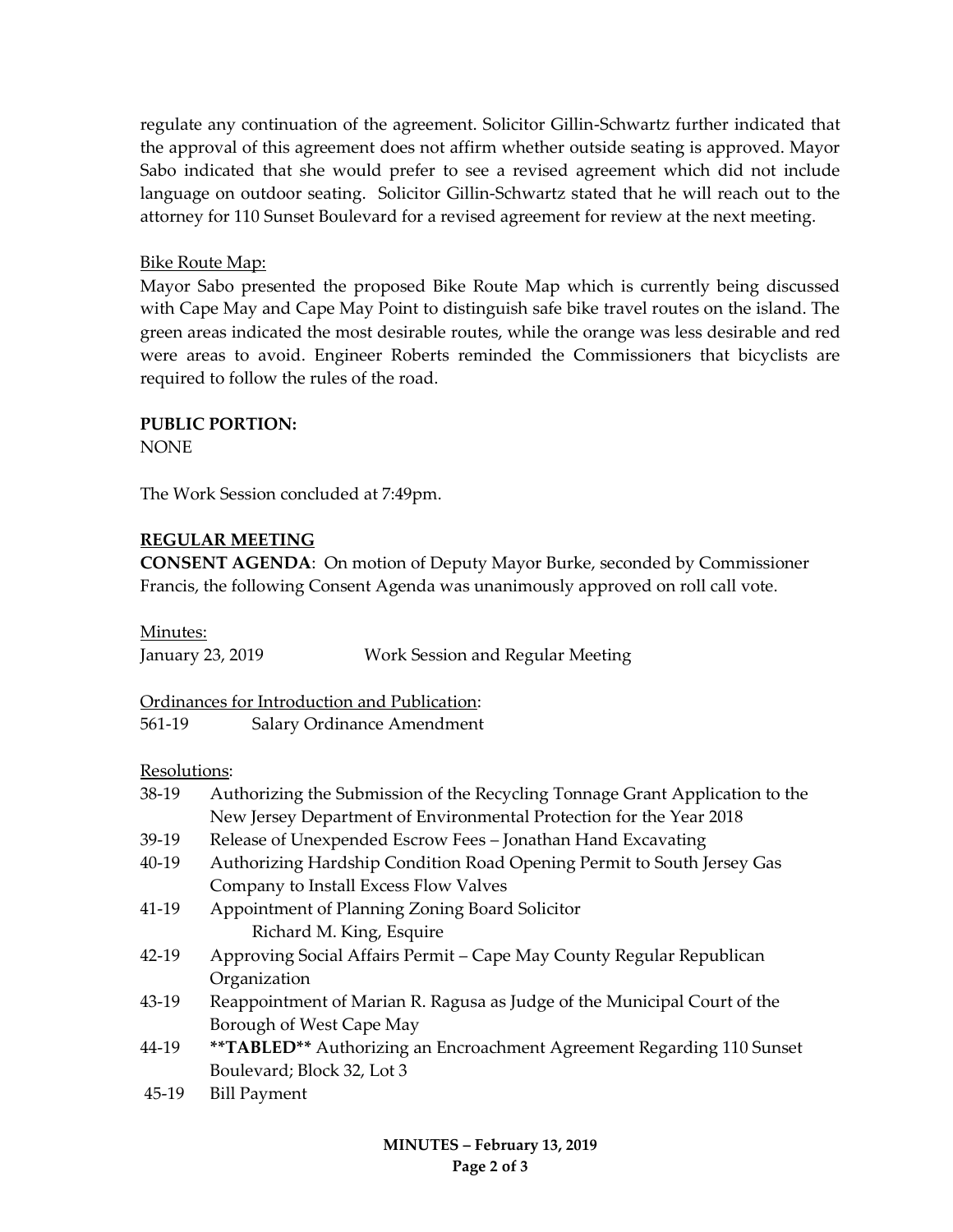regulate any continuation of the agreement. Solicitor Gillin-Schwartz further indicated that the approval of this agreement does not affirm whether outside seating is approved. Mayor Sabo indicated that she would prefer to see a revised agreement which did not include language on outdoor seating. Solicitor Gillin-Schwartz stated that he will reach out to the attorney for 110 Sunset Boulevard for a revised agreement for review at the next meeting.

# Bike Route Map:

Mayor Sabo presented the proposed Bike Route Map which is currently being discussed with Cape May and Cape May Point to distinguish safe bike travel routes on the island. The green areas indicated the most desirable routes, while the orange was less desirable and red were areas to avoid. Engineer Roberts reminded the Commissioners that bicyclists are required to follow the rules of the road.

### **PUBLIC PORTION:**

**NONE** 

The Work Session concluded at 7:49pm.

### **REGULAR MEETING**

**CONSENT AGENDA**: On motion of Deputy Mayor Burke, seconded by Commissioner Francis, the following Consent Agenda was unanimously approved on roll call vote.

Minutes:

| -----------      |                                  |
|------------------|----------------------------------|
| January 23, 2019 | Work Session and Regular Meeting |

Ordinances for Introduction and Publication:

561-19 Salary Ordinance Amendment

### Resolutions:

| 38-19     | Authorizing the Submission of the Recycling Tonnage Grant Application to the |  |
|-----------|------------------------------------------------------------------------------|--|
|           | New Jersey Department of Environmental Protection for the Year 2018          |  |
| $39-19$   | Release of Unexpended Escrow Fees - Jonathan Hand Excavating                 |  |
| 40-19     | Authorizing Hardship Condition Road Opening Permit to South Jersey Gas       |  |
|           | Company to Install Excess Flow Valves                                        |  |
| 41-19     | Appointment of Planning Zoning Board Solicitor                               |  |
|           | Richard M. King, Esquire                                                     |  |
| $42 - 19$ | Approving Social Affairs Permit - Cape May County Regular Republican         |  |
|           | Organization                                                                 |  |
| 43-19     | Reappointment of Marian R. Ragusa as Judge of the Municipal Court of the     |  |
|           | Borough of West Cape May                                                     |  |
| 44-19     | <b>**TABLED**</b> Authorizing an Encroachment Agreement Regarding 110 Sunset |  |
|           | Boulevard; Block 32, Lot 3                                                   |  |
| 45-19     | <b>Bill Payment</b>                                                          |  |
|           |                                                                              |  |